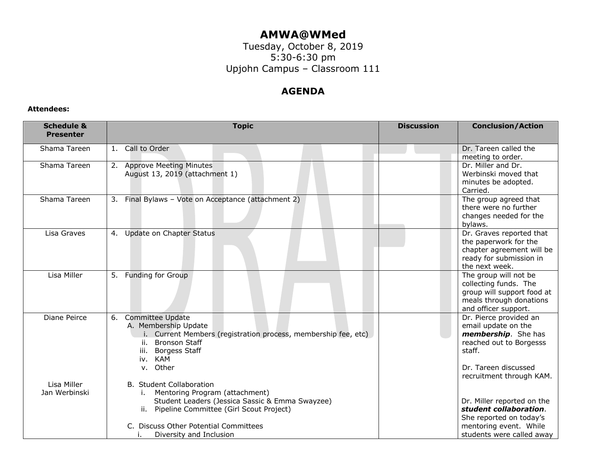## **AMWA@WMed**

Tuesday, October 8, 2019 5:30-6:30 pm Upjohn Campus – Classroom 111

## **AGENDA**

## **Attendees:**

| <b>Schedule &amp;</b><br><b>Presenter</b> | <b>Topic</b>                                                                                                                                                                                                                                     | <b>Discussion</b> | <b>Conclusion/Action</b>                                                                                                                                      |
|-------------------------------------------|--------------------------------------------------------------------------------------------------------------------------------------------------------------------------------------------------------------------------------------------------|-------------------|---------------------------------------------------------------------------------------------------------------------------------------------------------------|
| Shama Tareen                              | 1. Call to Order                                                                                                                                                                                                                                 |                   | Dr. Tareen called the<br>meeting to order.                                                                                                                    |
| Shama Tareen                              | 2. Approve Meeting Minutes<br>August 13, 2019 (attachment 1)                                                                                                                                                                                     |                   | Dr. Miller and Dr.<br>Werbinski moved that<br>minutes be adopted.<br>Carried.                                                                                 |
| Shama Tareen                              | 3. Final Bylaws - Vote on Acceptance (attachment 2)                                                                                                                                                                                              |                   | The group agreed that<br>there were no further<br>changes needed for the<br>bylaws.                                                                           |
| Lisa Graves                               | Update on Chapter Status<br>4.                                                                                                                                                                                                                   |                   | Dr. Graves reported that<br>the paperwork for the<br>chapter agreement will be<br>ready for submission in<br>the next week.                                   |
| Lisa Miller                               | 5. Funding for Group                                                                                                                                                                                                                             |                   | The group will not be<br>collecting funds. The<br>group will support food at<br>meals through donations<br>and officer support.                               |
| Diane Peirce                              | <b>Committee Update</b><br>6.<br>A. Membership Update<br>Current Members (registration process, membership fee, etc)<br><b>Bronson Staff</b><br>ii.<br><b>Borgess Staff</b><br>iii.<br>iv. KAM<br>v. Other                                       |                   | Dr. Pierce provided an<br>email update on the<br>membership. She has<br>reached out to Borgesss<br>staff.<br>Dr. Tareen discussed<br>recruitment through KAM. |
| Lisa Miller<br>Jan Werbinski              | <b>B.</b> Student Collaboration<br>Mentoring Program (attachment)<br>Student Leaders (Jessica Sassic & Emma Swayzee)<br>Pipeline Committee (Girl Scout Project)<br>ii.<br>C. Discuss Other Potential Committees<br>Diversity and Inclusion<br>ъ. |                   | Dr. Miller reported on the<br>student collaboration.<br>She reported on today's<br>mentoring event. While<br>students were called away                        |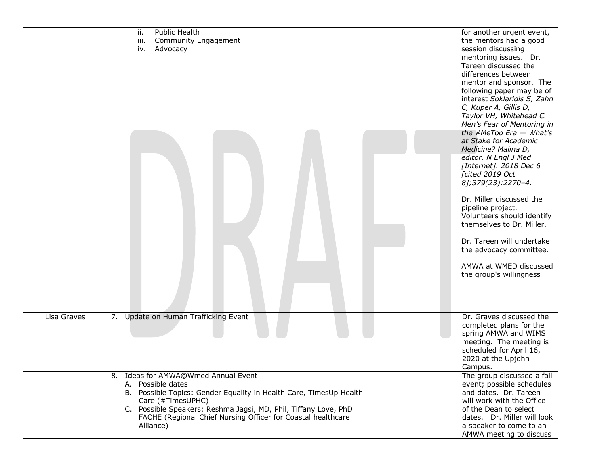|             | Public Health<br>ii.<br>iii.<br>Community Engagement<br>Advocacy<br>iv.                                                                                                                                                                                                                             | for another urgent event,<br>the mentors had a good<br>session discussing<br>mentoring issues. Dr.<br>Tareen discussed the<br>differences between<br>mentor and sponsor. The<br>following paper may be of<br>interest Soklaridis S, Zahn<br>C, Kuper A, Gillis D,<br>Taylor VH, Whitehead C.<br>Men's Fear of Mentoring in<br>the #MeToo Era $-$ What's<br>at Stake for Academic<br>Medicine? Malina D,<br>editor. N Engl J Med<br>[Internet]. 2018 Dec 6<br>[cited 2019 Oct<br>8];379(23):2270-4.<br>Dr. Miller discussed the<br>pipeline project.<br>Volunteers should identify<br>themselves to Dr. Miller.<br>Dr. Tareen will undertake<br>the advocacy committee.<br>AMWA at WMED discussed<br>the group's willingness |
|-------------|-----------------------------------------------------------------------------------------------------------------------------------------------------------------------------------------------------------------------------------------------------------------------------------------------------|-----------------------------------------------------------------------------------------------------------------------------------------------------------------------------------------------------------------------------------------------------------------------------------------------------------------------------------------------------------------------------------------------------------------------------------------------------------------------------------------------------------------------------------------------------------------------------------------------------------------------------------------------------------------------------------------------------------------------------|
| Lisa Graves | 7. Update on Human Trafficking Event                                                                                                                                                                                                                                                                | Dr. Graves discussed the<br>completed plans for the<br>spring AMWA and WIMS<br>meeting. The meeting is<br>scheduled for April 16,<br>2020 at the Upjohn<br>Campus.                                                                                                                                                                                                                                                                                                                                                                                                                                                                                                                                                          |
|             | 8. Ideas for AMWA@Wmed Annual Event<br>A. Possible dates<br>B. Possible Topics: Gender Equality in Health Care, TimesUp Health<br>Care (#TimesUPHC)<br>C. Possible Speakers: Reshma Jagsi, MD, Phil, Tiffany Love, PhD<br>FACHE (Regional Chief Nursing Officer for Coastal healthcare<br>Alliance) | The group discussed a fall<br>event; possible schedules<br>and dates. Dr. Tareen<br>will work with the Office<br>of the Dean to select<br>dates. Dr. Miller will look<br>a speaker to come to an<br>AMWA meeting to discuss                                                                                                                                                                                                                                                                                                                                                                                                                                                                                                 |